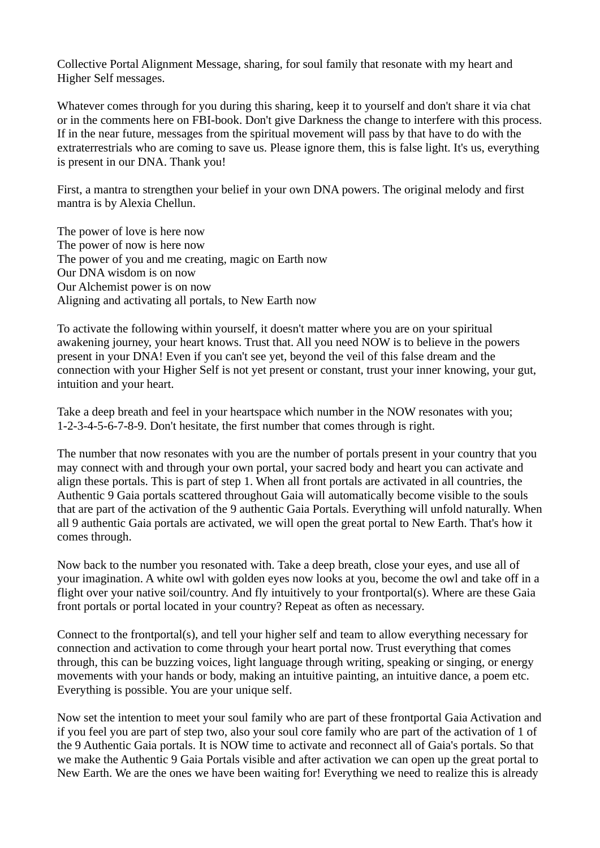Collective Portal Alignment Message, sharing, for soul family that resonate with my heart and Higher Self messages.

Whatever comes through for you during this sharing, keep it to yourself and don't share it via chat or in the comments here on FBI-book. Don't give Darkness the change to interfere with this process. If in the near future, messages from the spiritual movement will pass by that have to do with the extraterrestrials who are coming to save us. Please ignore them, this is false light. It's us, everything is present in our DNA. Thank you!

First, a mantra to strengthen your belief in your own DNA powers. The original melody and first mantra is by Alexia Chellun.

The power of love is here now The power of now is here now The power of you and me creating, magic on Earth now Our DNA wisdom is on now Our Alchemist power is on now Aligning and activating all portals, to New Earth now

To activate the following within yourself, it doesn't matter where you are on your spiritual awakening journey, your heart knows. Trust that. All you need NOW is to believe in the powers present in your DNA! Even if you can't see yet, beyond the veil of this false dream and the connection with your Higher Self is not yet present or constant, trust your inner knowing, your gut, intuition and your heart.

Take a deep breath and feel in your heartspace which number in the NOW resonates with you; 1-2-3-4-5-6-7-8-9. Don't hesitate, the first number that comes through is right.

The number that now resonates with you are the number of portals present in your country that you may connect with and through your own portal, your sacred body and heart you can activate and align these portals. This is part of step 1. When all front portals are activated in all countries, the Authentic 9 Gaia portals scattered throughout Gaia will automatically become visible to the souls that are part of the activation of the 9 authentic Gaia Portals. Everything will unfold naturally. When all 9 authentic Gaia portals are activated, we will open the great portal to New Earth. That's how it comes through.

Now back to the number you resonated with. Take a deep breath, close your eyes, and use all of your imagination. A white owl with golden eyes now looks at you, become the owl and take off in a flight over your native soil/country. And fly intuitively to your frontportal(s). Where are these Gaia front portals or portal located in your country? Repeat as often as necessary.

Connect to the frontportal(s), and tell your higher self and team to allow everything necessary for connection and activation to come through your heart portal now. Trust everything that comes through, this can be buzzing voices, light language through writing, speaking or singing, or energy movements with your hands or body, making an intuitive painting, an intuitive dance, a poem etc. Everything is possible. You are your unique self.

Now set the intention to meet your soul family who are part of these frontportal Gaia Activation and if you feel you are part of step two, also your soul core family who are part of the activation of 1 of the 9 Authentic Gaia portals. It is NOW time to activate and reconnect all of Gaia's portals. So that we make the Authentic 9 Gaia Portals visible and after activation we can open up the great portal to New Earth. We are the ones we have been waiting for! Everything we need to realize this is already